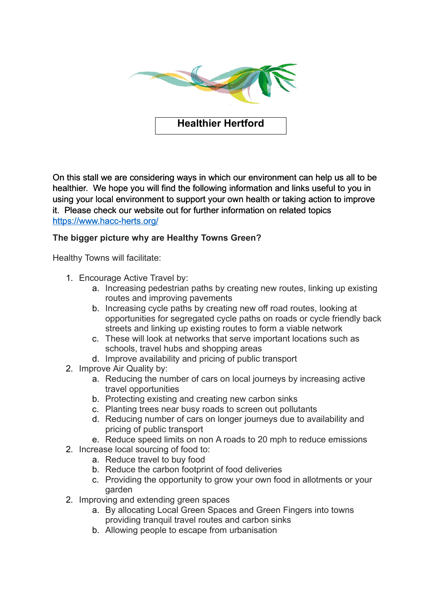

**Healthier Hertford**

On this stall we are considering ways in which our environment can help us all to be healthier. We hope you will find the following information and links useful to you in using your local environment to support your own health or taking action to improve it. Please check our website out for further information on related topics <https://www.hacc-herts.org/>

## **The bigger picture why are Healthy Towns Green?**

Healthy Towns will facilitate:

- 1. Encourage Active Travel by:
	- a. Increasing pedestrian paths by creating new routes, linking up existing routes and improving pavements
	- b. Increasing cycle paths by creating new off road routes, looking at opportunities for segregated cycle paths on roads or cycle friendly back streets and linking up existing routes to form a viable network
	- c. These will look at networks that serve important locations such as schools, travel hubs and shopping areas
	- d. Improve availability and pricing of public transport
- 2. Improve Air Quality by:
	- a. Reducing the number of cars on local journeys by increasing active travel opportunities
	- b. Protecting existing and creating new carbon sinks
	- c. Planting trees near busy roads to screen out pollutants
	- d. Reducing number of cars on longer journeys due to availability and pricing of public transport
	- e. Reduce speed limits on non A roads to 20 mph to reduce emissions
- 2. Increase local sourcing of food to:
	- a. Reduce travel to buy food
	- b. Reduce the carbon footprint of food deliveries
	- c. Providing the opportunity to grow your own food in allotments or your garden
- 2. Improving and extending green spaces
	- a. By allocating Local Green Spaces and Green Fingers into towns providing tranquil travel routes and carbon sinks
	- b. Allowing people to escape from urbanisation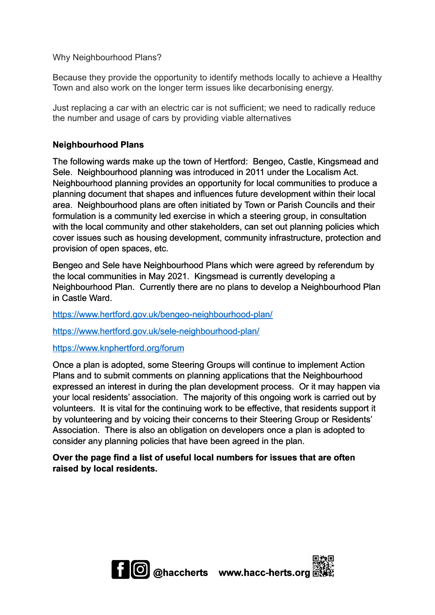Why Neighbourhood Plans?

Because they provide the opportunity to identify methods locally to achieve a Healthy Town and also work on the longer term issues like decarbonising energy.

Just replacing a car with an electric car is not sufficient; we need to radically reduce the number and usage of cars by providing viable alternatives

## **Neighbourhood Plans**

The following wards make up the town of Hertford: Bengeo, Castle, Kingsmead and Sele. Neighbourhood planning was introduced in 2011 under the Localism Act. Neighbourhood planning provides an opportunity for local communities to produce a planning document that shapes and influences future development within their local area. Neighbourhood plans are often initiated by Town or Parish Councils and their formulation is a community led exercise in which a steering group, in consultation with the local community and other stakeholders, can set out planning policies which cover issues such as housing development, community infrastructure, protection and provision of open spaces, etc.

Bengeo and Sele have Neighbourhood Plans which were agreed by referendum by the local communities in May 2021. Kingsmead is currently developing a Neighbourhood Plan. Currently there are no plans to develop a Neighbourhood Plan in Castle Ward.

<https://www.hertford.gov.uk/bengeo-neighbourhood-plan/>

<https://www.hertford.gov.uk/sele-neighbourhood-plan/>

<https://www.knphertford.org/forum>

Once a plan is adopted, some Steering Groups will continue to implement Action Plans and to submit comments on planning applications that the Neighbourhood expressed an interest in during the plan development process. Or it may happen via your local residents' association. The majority of this ongoing work is carried out by volunteers. It is vital for the continuing work to be effective, that residents support it by volunteering and by voicing their concerns to their Steering Group or Residents' Association. There is also an obligation on developers once a plan is adopted to consider any planning policies that have been agreed in the plan.

## **Over the page find a list of useful local numbers for issues that are often raised by local residents.**